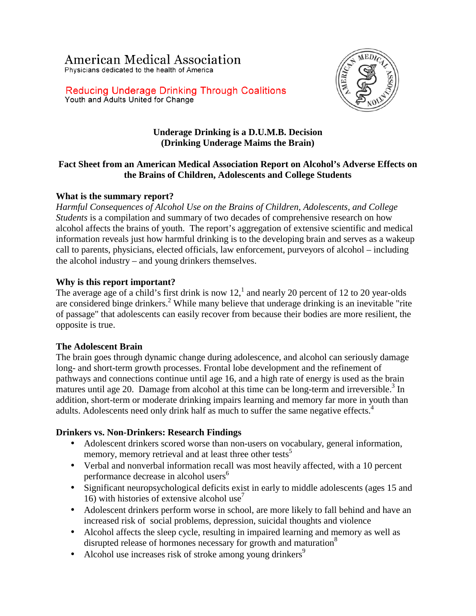# **American Medical Association**

Physicians dedicated to the health of America



**Reducing Underage Drinking Through Coalitions** Youth and Adults United for Change

## **Underage Drinking is a D.U.M.B. Decision (Drinking Underage Maims the Brain)**

# **Fact Sheet from an American Medical Association Report on Alcohol's Adverse Effects on the Brains of Children, Adolescents and College Students**

# **What is the summary report?**

*Harmful Consequences of Alcohol Use on the Brains of Children, Adolescents, and College Students* is a compilation and summary of two decades of comprehensive research on how alcohol affects the brains of youth. The report's aggregation of extensive scientific and medical information reveals just how harmful drinking is to the developing brain and serves as a wakeup call to parents, physicians, elected officials, law enforcement, purveyors of alcohol – including the alcohol industry – and young drinkers themselves.

# **Why is this report important?**

The average age of a child's first drink is now  $12<sup>1</sup>$  and nearly 20 percent of 12 to 20 year-olds are considered binge drinkers.<sup>2</sup> While many believe that underage drinking is an inevitable "rite of passage" that adolescents can easily recover from because their bodies are more resilient, the opposite is true.

## **The Adolescent Brain**

The brain goes through dynamic change during adolescence, and alcohol can seriously damage long- and short-term growth processes. Frontal lobe development and the refinement of pathways and connections continue until age 16, and a high rate of energy is used as the brain matures until age 20. Damage from alcohol at this time can be long-term and irreversible.<sup>3</sup> In addition, short-term or moderate drinking impairs learning and memory far more in youth than adults. Adolescents need only drink half as much to suffer the same negative effects.<sup>4</sup>

## **Drinkers vs. Non-Drinkers: Research Findings**

- Adolescent drinkers scored worse than non-users on vocabulary, general information, memory, memory retrieval and at least three other tests<sup>5</sup>
- Verbal and nonverbal information recall was most heavily affected, with a 10 percent performance decrease in alcohol users<sup>6</sup>
- Significant neuropsychological deficits exist in early to middle adolescents (ages 15 and 16) with histories of extensive alcohol use<sup>7</sup>
- Adolescent drinkers perform worse in school, are more likely to fall behind and have an increased risk of social problems, depression, suicidal thoughts and violence
- Alcohol affects the sleep cycle, resulting in impaired learning and memory as well as disrupted release of hormones necessary for growth and maturation<sup>8</sup>
- Alcohol use increases risk of stroke among young drinkers<sup>9</sup>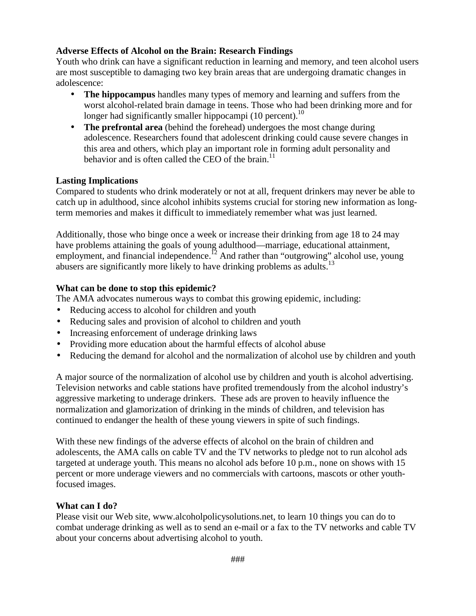#### **Adverse Effects of Alcohol on the Brain: Research Findings**

Youth who drink can have a significant reduction in learning and memory, and teen alcohol users are most susceptible to damaging two key brain areas that are undergoing dramatic changes in adolescence:

- **The hippocampus** handles many types of memory and learning and suffers from the worst alcohol-related brain damage in teens. Those who had been drinking more and for longer had significantly smaller hippocampi (10 percent).<sup>10</sup>
- **The prefrontal area** (behind the forehead) undergoes the most change during adolescence. Researchers found that adolescent drinking could cause severe changes in this area and others, which play an important role in forming adult personality and behavior and is often called the CEO of the brain. $^{11}$

#### **Lasting Implications**

Compared to students who drink moderately or not at all, frequent drinkers may never be able to catch up in adulthood, since alcohol inhibits systems crucial for storing new information as longterm memories and makes it difficult to immediately remember what was just learned.

Additionally, those who binge once a week or increase their drinking from age 18 to 24 may have problems attaining the goals of young adulthood—marriage, educational attainment, employment, and financial independence.<sup>12</sup> And rather than "outgrowing" alcohol use, young abusers are significantly more likely to have drinking problems as adults.<sup>13</sup>

#### **What can be done to stop this epidemic?**

The AMA advocates numerous ways to combat this growing epidemic, including:

- Reducing access to alcohol for children and youth
- Reducing sales and provision of alcohol to children and youth
- Increasing enforcement of underage drinking laws
- Providing more education about the harmful effects of alcohol abuse
- Reducing the demand for alcohol and the normalization of alcohol use by children and youth

A major source of the normalization of alcohol use by children and youth is alcohol advertising. Television networks and cable stations have profited tremendously from the alcohol industry's aggressive marketing to underage drinkers. These ads are proven to heavily influence the normalization and glamorization of drinking in the minds of children, and television has continued to endanger the health of these young viewers in spite of such findings.

With these new findings of the adverse effects of alcohol on the brain of children and adolescents, the AMA calls on cable TV and the TV networks to pledge not to run alcohol ads targeted at underage youth. This means no alcohol ads before 10 p.m., none on shows with 15 percent or more underage viewers and no commercials with cartoons, mascots or other youthfocused images.

#### **What can I do?**

Please visit our Web site, www.alcoholpolicysolutions.net, to learn 10 things you can do to combat underage drinking as well as to send an e-mail or a fax to the TV networks and cable TV about your concerns about advertising alcohol to youth.